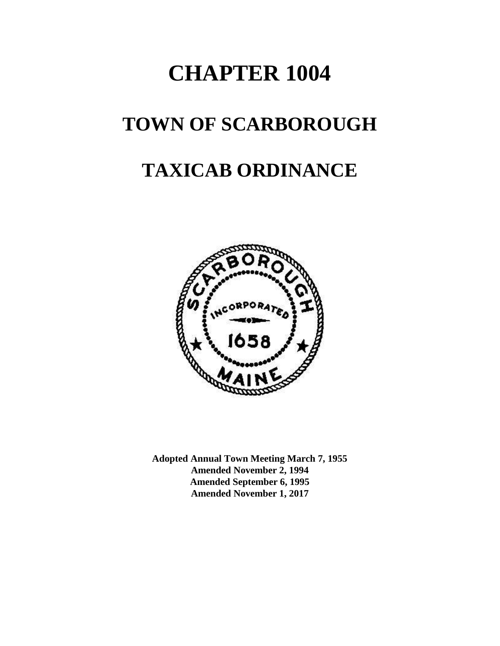# **CHAPTER 1004**

# **TOWN OF SCARBOROUGH**

# **TAXICAB ORDINANCE**



**Adopted Annual Town Meeting March 7, 1955 Amended November 2, 1994 Amended September 6, 1995 Amended November 1, 2017**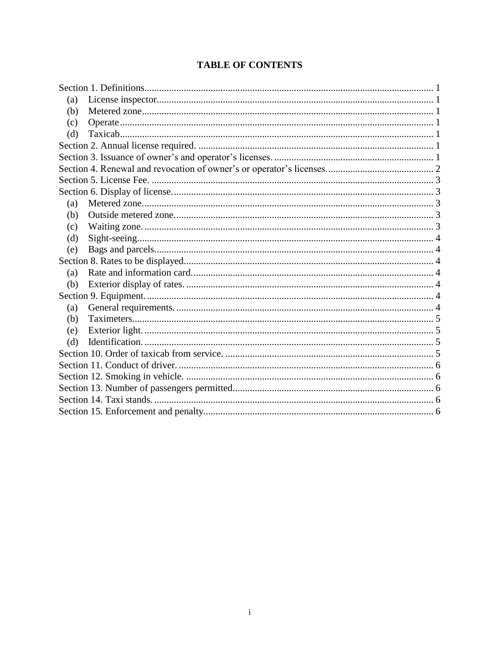| (a) |  |
|-----|--|
| (b) |  |
| (c) |  |
| (d) |  |
|     |  |
|     |  |
|     |  |
|     |  |
|     |  |
| (a) |  |
| (b) |  |
| (c) |  |
| (d) |  |
| (e) |  |
|     |  |
| (a) |  |
| (b) |  |
|     |  |
| (a) |  |
| (b) |  |
| (e) |  |
| (d) |  |
|     |  |
|     |  |
|     |  |
|     |  |
|     |  |
|     |  |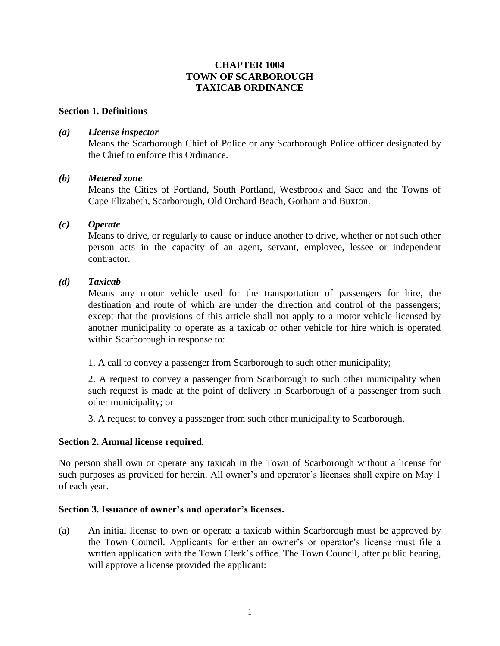# **CHAPTER 1004 TOWN OF SCARBOROUGH TAXICAB ORDINANCE**

### <span id="page-2-0"></span>**Section 1. Definitions**

# <span id="page-2-1"></span>*(a) License inspector*

Means the Scarborough Chief of Police or any Scarborough Police officer designated by the Chief to enforce this Ordinance.

### <span id="page-2-2"></span>*(b) Metered zone*

Means the Cities of Portland, South Portland, Westbrook and Saco and the Towns of Cape Elizabeth, Scarborough, Old Orchard Beach, Gorham and Buxton.

# <span id="page-2-3"></span>*(c) Operate*

Means to drive, or regularly to cause or induce another to drive, whether or not such other person acts in the capacity of an agent, servant, employee, lessee or independent contractor.

# <span id="page-2-4"></span>*(d) Taxicab*

Means any motor vehicle used for the transportation of passengers for hire, the destination and route of which are under the direction and control of the passengers; except that the provisions of this article shall not apply to a motor vehicle licensed by another municipality to operate as a taxicab or other vehicle for hire which is operated within Scarborough in response to:

1. A call to convey a passenger from Scarborough to such other municipality;

2. A request to convey a passenger from Scarborough to such other municipality when such request is made at the point of delivery in Scarborough of a passenger from such other municipality; or

3. A request to convey a passenger from such other municipality to Scarborough.

# <span id="page-2-5"></span>**Section 2. Annual license required.**

No person shall own or operate any taxicab in the Town of Scarborough without a license for such purposes as provided for herein. All owner's and operator's licenses shall expire on May 1 of each year.

### <span id="page-2-6"></span>**Section 3. Issuance of owner's and operator's licenses.**

(a) An initial license to own or operate a taxicab within Scarborough must be approved by the Town Council. Applicants for either an owner's or operator's license must file a written application with the Town Clerk's office. The Town Council, after public hearing, will approve a license provided the applicant: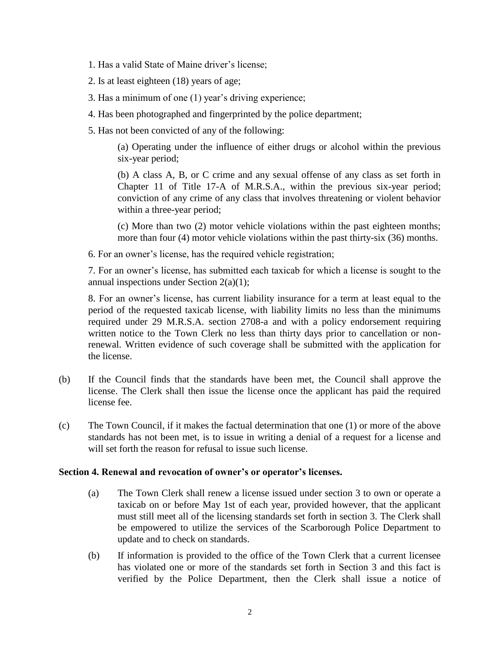- 1. Has a valid State of Maine driver's license;
- 2. Is at least eighteen (18) years of age;
- 3. Has a minimum of one (1) year's driving experience;
- 4. Has been photographed and fingerprinted by the police department;
- 5. Has not been convicted of any of the following:

(a) Operating under the influence of either drugs or alcohol within the previous six-year period;

(b) A class A, B, or C crime and any sexual offense of any class as set forth in Chapter 11 of Title 17-A of M.R.S.A., within the previous six-year period; conviction of any crime of any class that involves threatening or violent behavior within a three-year period;

(c) More than two (2) motor vehicle violations within the past eighteen months; more than four (4) motor vehicle violations within the past thirty-six (36) months.

6. For an owner's license, has the required vehicle registration;

7. For an owner's license, has submitted each taxicab for which a license is sought to the annual inspections under Section 2(a)(1);

8. For an owner's license, has current liability insurance for a term at least equal to the period of the requested taxicab license, with liability limits no less than the minimums required under 29 M.R.S.A. section 2708-a and with a policy endorsement requiring written notice to the Town Clerk no less than thirty days prior to cancellation or nonrenewal. Written evidence of such coverage shall be submitted with the application for the license.

- (b) If the Council finds that the standards have been met, the Council shall approve the license. The Clerk shall then issue the license once the applicant has paid the required license fee.
- (c) The Town Council, if it makes the factual determination that one (1) or more of the above standards has not been met, is to issue in writing a denial of a request for a license and will set forth the reason for refusal to issue such license.

### <span id="page-3-0"></span>**Section 4. Renewal and revocation of owner's or operator's licenses.**

- (a) The Town Clerk shall renew a license issued under section 3 to own or operate a taxicab on or before May 1st of each year, provided however, that the applicant must still meet all of the licensing standards set forth in section 3. The Clerk shall be empowered to utilize the services of the Scarborough Police Department to update and to check on standards.
- (b) If information is provided to the office of the Town Clerk that a current licensee has violated one or more of the standards set forth in Section 3 and this fact is verified by the Police Department, then the Clerk shall issue a notice of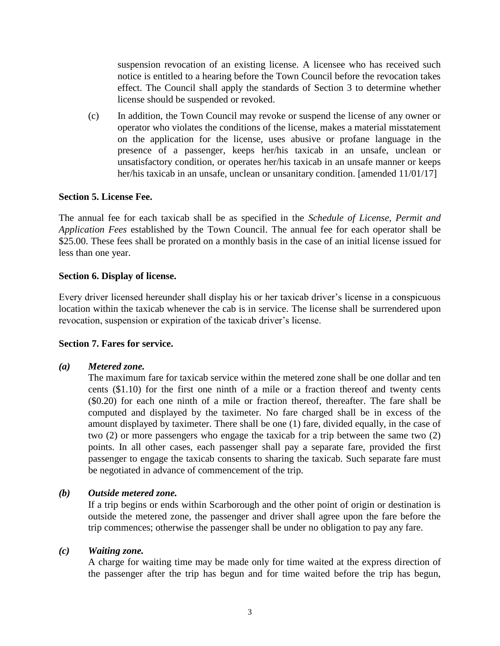suspension revocation of an existing license. A licensee who has received such notice is entitled to a hearing before the Town Council before the revocation takes effect. The Council shall apply the standards of Section 3 to determine whether license should be suspended or revoked.

(c) In addition, the Town Council may revoke or suspend the license of any owner or operator who violates the conditions of the license, makes a material misstatement on the application for the license, uses abusive or profane language in the presence of a passenger, keeps her/his taxicab in an unsafe, unclean or unsatisfactory condition, or operates her/his taxicab in an unsafe manner or keeps her/his taxicab in an unsafe, unclean or unsanitary condition. [amended 11/01/17]

### <span id="page-4-0"></span>**Section 5. License Fee.**

The annual fee for each taxicab shall be as specified in the *Schedule of License, Permit and Application Fees* established by the Town Council. The annual fee for each operator shall be \$25.00. These fees shall be prorated on a monthly basis in the case of an initial license issued for less than one year.

### <span id="page-4-1"></span>**Section 6. Display of license.**

Every driver licensed hereunder shall display his or her taxicab driver's license in a conspicuous location within the taxicab whenever the cab is in service. The license shall be surrendered upon revocation, suspension or expiration of the taxicab driver's license.

### **Section 7. Fares for service.**

### <span id="page-4-2"></span>*(a) Metered zone.*

The maximum fare for taxicab service within the metered zone shall be one dollar and ten cents (\$1.10) for the first one ninth of a mile or a fraction thereof and twenty cents (\$0.20) for each one ninth of a mile or fraction thereof, thereafter. The fare shall be computed and displayed by the taximeter. No fare charged shall be in excess of the amount displayed by taximeter. There shall be one (1) fare, divided equally, in the case of two (2) or more passengers who engage the taxicab for a trip between the same two (2) points. In all other cases, each passenger shall pay a separate fare, provided the first passenger to engage the taxicab consents to sharing the taxicab. Such separate fare must be negotiated in advance of commencement of the trip.

# <span id="page-4-3"></span>*(b) Outside metered zone.*

If a trip begins or ends within Scarborough and the other point of origin or destination is outside the metered zone, the passenger and driver shall agree upon the fare before the trip commences; otherwise the passenger shall be under no obligation to pay any fare.

### <span id="page-4-4"></span>*(c) Waiting zone.*

A charge for waiting time may be made only for time waited at the express direction of the passenger after the trip has begun and for time waited before the trip has begun,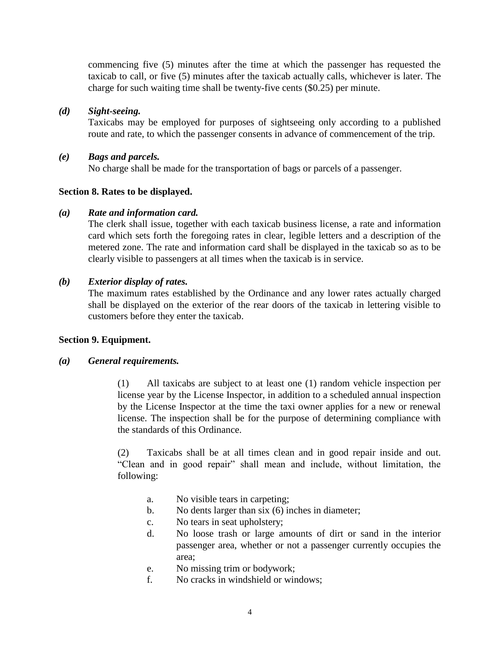commencing five (5) minutes after the time at which the passenger has requested the taxicab to call, or five (5) minutes after the taxicab actually calls, whichever is later. The charge for such waiting time shall be twenty-five cents (\$0.25) per minute.

# <span id="page-5-0"></span>*(d) Sight-seeing.*

Taxicabs may be employed for purposes of sightseeing only according to a published route and rate, to which the passenger consents in advance of commencement of the trip.

# <span id="page-5-1"></span>*(e) Bags and parcels.*

No charge shall be made for the transportation of bags or parcels of a passenger.

# <span id="page-5-2"></span>**Section 8. Rates to be displayed.**

# <span id="page-5-3"></span>*(a) Rate and information card.*

The clerk shall issue, together with each taxicab business license, a rate and information card which sets forth the foregoing rates in clear, legible letters and a description of the metered zone. The rate and information card shall be displayed in the taxicab so as to be clearly visible to passengers at all times when the taxicab is in service.

# <span id="page-5-4"></span>*(b) Exterior display of rates.*

The maximum rates established by the Ordinance and any lower rates actually charged shall be displayed on the exterior of the rear doors of the taxicab in lettering visible to customers before they enter the taxicab.

### <span id="page-5-5"></span>**Section 9. Equipment.**

### <span id="page-5-6"></span>*(a) General requirements.*

(1) All taxicabs are subject to at least one (1) random vehicle inspection per license year by the License Inspector, in addition to a scheduled annual inspection by the License Inspector at the time the taxi owner applies for a new or renewal license. The inspection shall be for the purpose of determining compliance with the standards of this Ordinance.

(2) Taxicabs shall be at all times clean and in good repair inside and out. "Clean and in good repair" shall mean and include, without limitation, the following:

- a. No visible tears in carpeting;
- b. No dents larger than six (6) inches in diameter;
- c. No tears in seat upholstery;
- d. No loose trash or large amounts of dirt or sand in the interior passenger area, whether or not a passenger currently occupies the area;
- e. No missing trim or bodywork;
- f. No cracks in windshield or windows;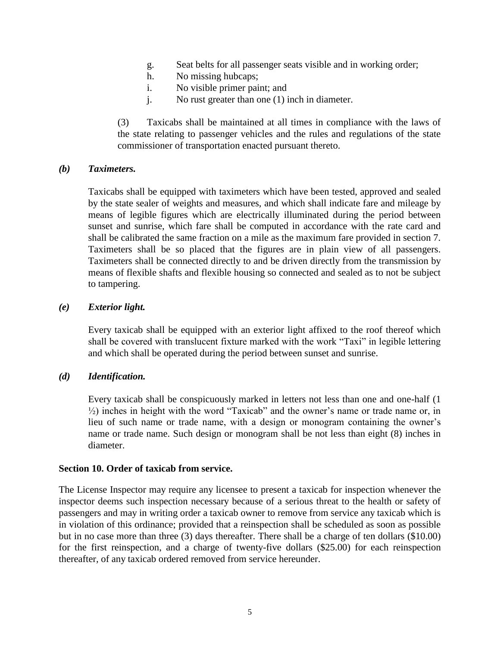- g. Seat belts for all passenger seats visible and in working order;
- h. No missing hubcaps;
- i. No visible primer paint; and
- j. No rust greater than one (1) inch in diameter.

(3) Taxicabs shall be maintained at all times in compliance with the laws of the state relating to passenger vehicles and the rules and regulations of the state commissioner of transportation enacted pursuant thereto.

### <span id="page-6-0"></span>*(b) Taximeters.*

Taxicabs shall be equipped with taximeters which have been tested, approved and sealed by the state sealer of weights and measures, and which shall indicate fare and mileage by means of legible figures which are electrically illuminated during the period between sunset and sunrise, which fare shall be computed in accordance with the rate card and shall be calibrated the same fraction on a mile as the maximum fare provided in section 7. Taximeters shall be so placed that the figures are in plain view of all passengers. Taximeters shall be connected directly to and be driven directly from the transmission by means of flexible shafts and flexible housing so connected and sealed as to not be subject to tampering.

### <span id="page-6-1"></span>*(e) Exterior light.*

Every taxicab shall be equipped with an exterior light affixed to the roof thereof which shall be covered with translucent fixture marked with the work "Taxi" in legible lettering and which shall be operated during the period between sunset and sunrise.

# <span id="page-6-2"></span>*(d) Identification.*

Every taxicab shall be conspicuously marked in letters not less than one and one-half (1 ½) inches in height with the word "Taxicab" and the owner's name or trade name or, in lieu of such name or trade name, with a design or monogram containing the owner's name or trade name. Such design or monogram shall be not less than eight (8) inches in diameter.

### <span id="page-6-3"></span>**Section 10. Order of taxicab from service.**

The License Inspector may require any licensee to present a taxicab for inspection whenever the inspector deems such inspection necessary because of a serious threat to the health or safety of passengers and may in writing order a taxicab owner to remove from service any taxicab which is in violation of this ordinance; provided that a reinspection shall be scheduled as soon as possible but in no case more than three (3) days thereafter. There shall be a charge of ten dollars (\$10.00) for the first reinspection, and a charge of twenty-five dollars (\$25.00) for each reinspection thereafter, of any taxicab ordered removed from service hereunder.